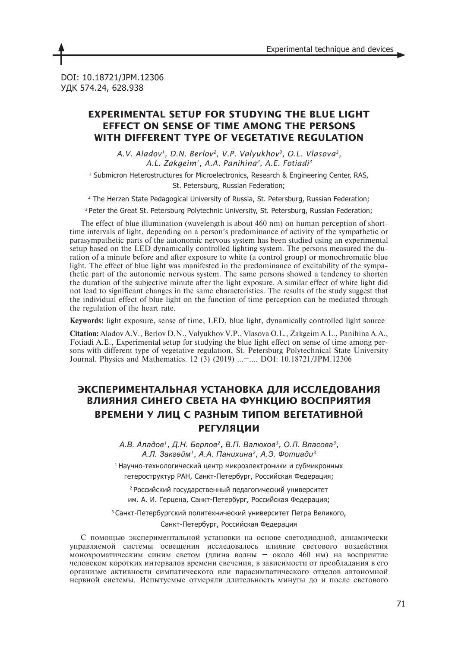DOI: 10.18721/JPM.12306 УДК 574.24, 628.938

# **EXPERIMENTAL SETUP FOR STUDYING THE BLUE LIGHT EFFECT ON SENSE OF TIME AMONG THE PERSONS WITH DIFFERENT TYPE OF VEGETATIVE REGULATION**

*A.V. Aladov1, D.N. Berlov2, V.P. Valyukhov3, O.L. Vlasova3, A.L. Zakgeim1, A.A. Panihina2, A.E. Fotiadi3*

1 Submicron Heterostructures for Microelectronics, Research & Engineering Center, RAS, St. Petersburg, Russian Federation;

2 The Herzen State Pedagogical University of Russia, St. Petersburg, Russian Federation;

<sup>3</sup> Peter the Great St. Petersburg Polytechnic University, St. Petersburg, Russian Federation;

The effect of blue illumination (wavelength is about 460 nm) on human perception of shorttime intervals of light, depending on a person's predominance of activity of the sympathetic or parasympathetic parts of the autonomic nervous system has been studied using an experimental setup based on the LED dynamically controlled lighting system. The persons measured the duration of a minute before and after exposure to white (a control group) or monochromatic blue light. The effect of blue light was manifested in the predominance of excitability of the sympathetic part of the autonomic nervous system. The same persons showed a tendency to shorten the duration of the subjective minute after the light exposure. A similar effect of white light did not lead to significant changes in the same characteristics. The results of the study suggest that the individual effect of blue light on the function of time perception can be mediated through the regulation of the heart rate.

**Keywords:** light exposure, sense of time, LED, blue light, dynamically controlled light source

**Citation:** Aladov A.V., Berlov D.N., Valyukhov V.P., Vlasova O.L., Zakgeim A.L., Panihina A.A., Fotiadi A.E., Experimental setup for studying the blue light effect on sense of time among persons with different type of vegetative regulation, St. Petersburg Polytechnical State University Journal. Physics and Mathematics. 12 (3) (2019) …–…. DOI: 10.18721/JPM.12306

# **ЭКСПЕРИМЕНТАЛЬНАЯ УСТАНОВКА ДЛЯ ИССЛЕДОВАНИЯ ВЛИЯНИЯ СИНЕГО СВЕТА НА ФУНКЦИЮ ВОСПРИЯТИЯ ВРЕМЕНИ У ЛИЦ С РАЗНЫМ ТИПОМ ВЕГЕТАТИВНОЙ РЕГУЛЯЦИИ**

*А.В. Аладов1, Д.Н. Берлов2, В.П. Валюхов3, О.Л. Власова3, А.Л. Закгейм1, А.А. Панихина2, А.Э. Фотиади<sup>3</sup>*

<sup>1</sup>Научно-технологический центр микроэлектроники и субмикронных гетероструктур РАН, Санкт-Петербург, Российская Федерация;

<sup>2</sup>Российский государственный педагогический университет им. А. И. Герцена, Санкт-Петербург, Российская Федерация;

<sup>3</sup>Санкт-Петербургский политехнический университет Петра Великого, Санкт-Петербург, Российская Федерация

С помощью экспериментальной установки на основе светодиодной, динамически управляемой системы освещения исследовалось влияние светового воздействия монохроматическим синим светом (длина волны – около 460 нм) на восприятие человеком коротких интервалов времени свечения, в зависимости от преобладания в его организме активности симпатического или парасимпатического отделов автономной нервной системы. Испытуемые отмеряли длительность минуты до и после светового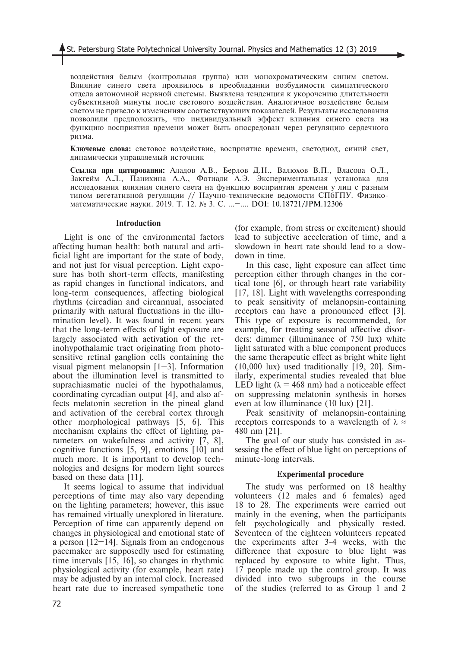воздействия белым (контрольная группа) или монохроматическим синим светом. Влияние синего света проявилось в преобладании возбудимости симпатического отдела автономной нервной системы. Выявлена тенденция к укорочению длительности субъективной минуты после светового воздействия. Аналогичное воздействие белым светом не привело к изменениям соответствующих показателей. Результаты исследования позволили предположить, что индивидуальный эффект влияния синего света на функцию восприятия времени может быть опосредован через регуляцию сердечного ритма.

**Ключевые слова:** световое воздействие, восприятие времени, светодиод, синий свет, динамически управляемый источник

**Ссылка при цитировании:** Аладов А.В., Берлов Д.Н., Валюхов В.П., Власова О.Л., Закгейм А.Л., Панихина А.А., Фотиади А.Э. Экспериментальная установка для исследования влияния синего света на функцию восприятия времени у лиц с разным типом вегетативной регуляции // Научно-технические ведомости СПбГПУ. Физикоматематические науки. 2019. Т. 12. № 3. С. …–…. DOI: 10.18721/JPM.12306

#### **Introduction**

Light is one of the environmental factors affecting human health: both natural and artificial light are important for the state of body, and not just for visual perception. Light exposure has both short-term effects, manifesting as rapid changes in functional indicators, and long-term consequences, affecting biological rhythms (circadian and circannual, associated primarily with natural fluctuations in the illumination level). It was found in recent years that the long-term effects of light exposure are largely associated with activation of the retinohypothalamic tract originating from photosensitive retinal ganglion cells containing the visual pigment melanopsin [1–3]. Information about the illumination level is transmitted to suprachiasmatic nuclei of the hypothalamus, coordinating cyrcadian output [4], and also affects melatonin secretion in the pineal gland and activation of the cerebral cortex through other morphological pathways [5, 6]. This mechanism explains the effect of lighting parameters on wakefulness and activity [7, 8], cognitive functions [5, 9], emotions [10] and much more. It is important to develop technologies and designs for modern light sources based on these data [11].

It seems logical to assume that individual perceptions of time may also vary depending on the lighting parameters; however, this issue has remained virtually unexplored in literature. Perception of time can apparently depend on changes in physiological and emotional state of a person  $[12-14]$ . Signals from an endogenous pacemaker are supposedly used for estimating time intervals [15, 16], so changes in rhythmic physiological activity (for example, heart rate) may be adjusted by an internal clock. Increased heart rate due to increased sympathetic tone

(for example, from stress or excitement) should lead to subjective acceleration of time, and a slowdown in heart rate should lead to a slowdown in time.

In this case, light exposure can affect time perception either through changes in the cortical tone [6], or through heart rate variability [17, 18]. Light with wavelengths corresponding to peak sensitivity of melanopsin-containing receptors can have a pronounced effect [3]. This type of exposure is recommended, for example, for treating seasonal affective disorders: dimmer (illuminance of 750 lux) white light saturated with a blue component produces the same therapeutic effect as bright white light (10,000 lux) used traditionally [19, 20]. Similarly, experimental studies revealed that blue LED light ( $\lambda = 468$  nm) had a noticeable effect on suppressing melatonin synthesis in horses even at low illuminance (10 lux) [21].

Peak sensitivity of melanopsin-containing receptors corresponds to a wavelength of  $\lambda \approx$ 480 nm [21].

The goal of our study has consisted in assessing the effect of blue light on perceptions of minute-long intervals.

### **Experimental procedure**

The study was performed on 18 healthy volunteers (12 males and 6 females) aged 18 to 28. The experiments were carried out mainly in the evening, when the participants felt psychologically and physically rested. Seventeen of the eighteen volunteers repeated the experiments after 3-4 weeks, with the difference that exposure to blue light was replaced by exposure to white light. Thus, 17 people made up the control group. It was divided into two subgroups in the course of the studies (referred to as Group 1 and 2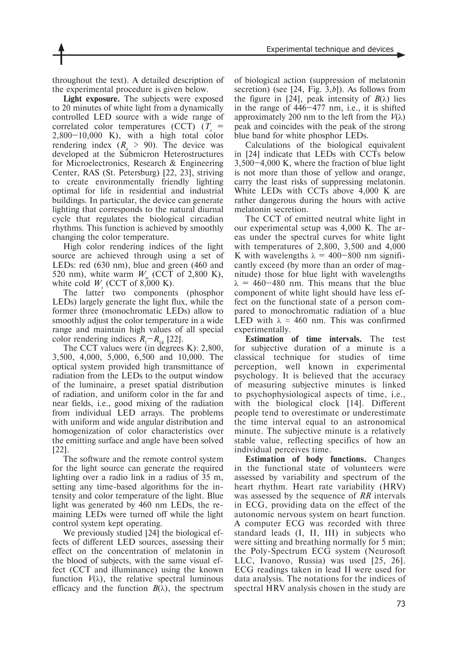throughout the text). A detailed description of the experimental procedure is given below.

**Light exposure.** The subjects were exposed to 20 minutes of white light from a dynamically controlled LED source with a wide range of correlated color temperatures (CCT)  $(T_s =$  $2,800-10,000$  K), with a high total color rendering index  $(R_a > 90)$ . The device was developed at the Submicron Heterostructures for Microelectronics, Research & Engineering Center, RAS (St. Petersburg) [22, 23], striving to create environmentally friendly lighting optimal for life in residential and industrial buildings. In particular, the device can generate lighting that corresponds to the natural diurnal cycle that regulates the biological circadian rhythms. This function is achieved by smoothly changing the color temperature.

High color rendering indices of the light source are achieved through using a set of LEDs: red (630 nm), blue and green (460 and 520 nm), white warm  $W$  (CCT of 2,800 K), white cold  $W<sub>s</sub>$  (CCT of 8,000 K).

The latter two components (phosphor LEDs) largely generate the light flux, while the former three (monochromatic LEDs) allow to smoothly adjust the color temperature in a wide range and maintain high values of all special color rendering indices  $R_1 - R_1$  [22].

The CCT values were (in degrees K): 2,800, 3,500, 4,000, 5,000, 6,500 and 10,000. The optical system provided high transmittance of radiation from the LEDs to the output window of the luminaire, a preset spatial distribution of radiation, and uniform color in the far and near fields, i.e., good mixing of the radiation from individual LED arrays. The problems with uniform and wide angular distribution and homogenization of color characteristics over the emitting surface and angle have been solved [22].

The software and the remote control system for the light source can generate the required lighting over a radio link in a radius of 35 m, setting any time-based algorithms for the intensity and color temperature of the light. Blue light was generated by 460 nm LEDs, the remaining LEDs were turned off while the light control system kept operating.

We previously studied [24] the biological effects of different LED sources, assessing their effect on the concentration of melatonin in the blood of subjects, with the same visual effect (CCT and illuminance) using the known function  $V(\lambda)$ , the relative spectral luminous efficacy and the function  $B(\lambda)$ , the spectrum of biological action (suppression of melatonin secretion) (see [24, Fig. 3,*b*]). As follows from the figure in [24], peak intensity of  $B(\lambda)$  lies in the range of 446–477 nm, i.e., it is shifted approximately 200 nm to the left from the  $V(\lambda)$ peak and coincides with the peak of the strong blue band for white phosphor LEDs.

Calculations of the biological equivalent in [24] indicate that LEDs with CCTs below 3,500–4,000 K, where the fraction of blue light is not more than those of yellow and orange, carry the least risks of suppressing melatonin. White LEDs with CCTs above 4,000 K are rather dangerous during the hours with active melatonin secretion.

The CCT of emitted neutral white light in our experimental setup was 4,000 K. The areas under the spectral curves for white light with temperatures of 2,800, 3,500 and 4,000 K with wavelengths  $\lambda = 400-800$  nm significantly exceed (by more than an order of magnitude) those for blue light with wavelengths  $\lambda = 460 - 480$  nm. This means that the blue component of white light should have less effect on the functional state of a person compared to monochromatic radiation of a blue LED with  $\lambda \approx 460$  nm. This was confirmed experimentally.

**Estimation of time intervals.** The test for subjective duration of a minute is a classical technique for studies of time perception, well known in experimental psychology. It is believed that the accuracy of measuring subjective minutes is linked to psychophysiological aspects of time, i.e., with the biological clock [14]. Different people tend to overestimate or underestimate the time interval equal to an astronomical minute. The subjective minute is a relatively stable value, reflecting specifics of how an individual perceives time.

**Estimation of body functions.** Changes in the functional state of volunteers were assessed by variability and spectrum of the heart rhythm. Heart rate variability (HRV) was assessed by the sequence of *RR* intervals in ECG, providing data on the effect of the autonomic nervous system on heart function. A computer ECG was recorded with three standard leads (I, II, III) in subjects who were sitting and breathing normally for 5 min; the Poly-Spectrum ECG system (Neurosoft LLC, Ivanovo, Russia) was used [25, 26]. ECG readings taken in lead II were used for data analysis. The notations for the indices of spectral HRV analysis chosen in the study are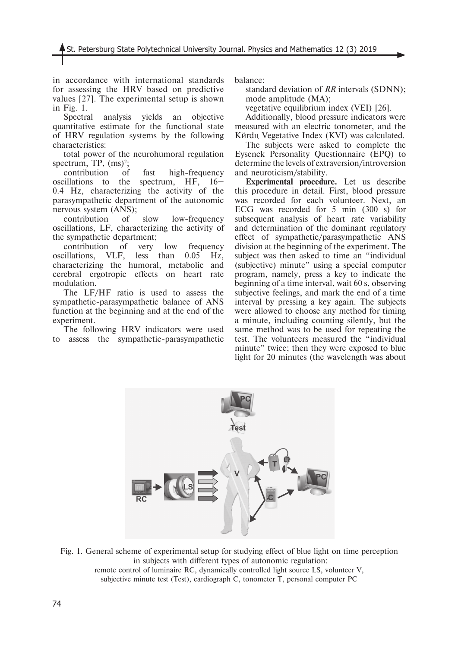in accordance with international standards for assessing the HRV based on predictive values [27]. The experimental setup is shown in Fig. 1.

Spectral analysis yields an objective quantitative estimate for the functional state of HRV regulation systems by the following characteristics:

total power of the neurohumoral regulation spectrum, TP,  $(ms)<sup>2</sup>$ ;

contribution of fast high-frequency oscillations to the spectrum, HF, 16– 0.4 Hz, characterizing the activity of the parasympathetic department of the autonomic nervous system (ANS);

contribution of slow low-frequency oscillations, LF, characterizing the activity of the sympathetic department;

contribution of very low frequency oscillations, VLF, less than 0.05 Hz, characterizing the humoral, metabolic and cerebral ergotropic effects on heart rate modulation.

The LF/HF ratio is used to assess the sympathetic-parasympathetic balance of ANS function at the beginning and at the end of the experiment.

The following HRV indicators were used to assess the sympathetic-parasympathetic

balance:

standard deviation of *RR* intervals (SDNN); mode amplitude (MA);

vegetative equilibrium index (VEI) [26].

Additionally, blood pressure indicators were measured with an electric tonometer, and the Kürdu Vegetative Index (KVI) was calculated.

The subjects were asked to complete the Eysenck Personality Questionnaire (EPQ) to determine the levels of extraversion/introversion and neuroticism/stability.

**Experimental procedure.** Let us describe this procedure in detail. First, blood pressure was recorded for each volunteer. Next, an ECG was recorded for 5 min (300 s) for subsequent analysis of heart rate variability and determination of the dominant regulatory effect of sympathetic/parasympathetic ANS division at the beginning of the experiment. The subject was then asked to time an "individual (subjective) minute" using a special computer program, namely, press a key to indicate the beginning of a time interval, wait 60 s, observing subjective feelings, and mark the end of a time interval by pressing a key again. The subjects were allowed to choose any method for timing a minute, including counting silently, but the same method was to be used for repeating the test. The volunteers measured the "individual minute" twice; then they were exposed to blue light for 20 minutes (the wavelength was about



Fig. 1. General scheme of experimental setup for studying effect of blue light on time perception in subjects with different types of autonomic regulation: remote control of luminaire RC, dynamically controlled light source LS, volunteer V, subjective minute test (Test), cardiograph C, tonometer T, personal computer PC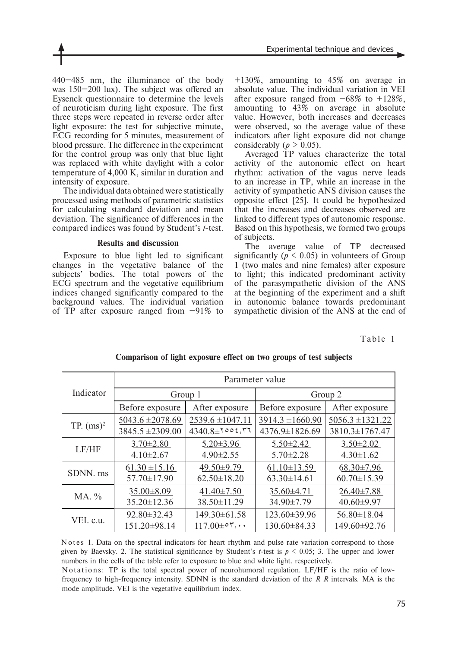440–485 nm, the illuminance of the body was 150–200 lux). The subject was offered an Eysenck questionnaire to determine the levels of neuroticism during light exposure. The first three steps were repeated in reverse order after light exposure: the test for subjective minute, ECG recording for 5 minutes, measurement of blood pressure. The difference in the experiment for the control group was only that blue light was replaced with white daylight with a color temperature of 4,000 K, similar in duration and intensity of exposure.

The individual data obtained were statistically processed using methods of parametric statistics for calculating standard deviation and mean deviation. The significance of differences in the compared indices was found by Student's *t*-test.

## **Results and discussion**

Exposure to blue light led to significant changes in the vegetative balance of the subjects' bodies. The total powers of the ECG spectrum and the vegetative equilibrium indices changed significantly compared to the background values. The individual variation of TP after exposure ranged from  $-91\%$  to

+130%, amounting to 45% on average in absolute value. The individual variation in VEI after exposure ranged from  $-68\%$  to  $+128\%$ , amounting to 43% on average in absolute value. However, both increases and decreases were observed, so the average value of these indicators after light exposure did not change considerably ( $p > 0.05$ ).

Averaged TP values characterize the total activity of the autonomic effect on heart rhythm: activation of the vagus nerve leads to an increase in TP, while an increase in the activity of sympathetic ANS division causes the opposite effect [25]. It could be hypothesized that the increases and decreases observed are linked to different types of autonomic response. Based on this hypothesis, we formed two groups of subjects.

The average value of TP decreased significantly ( $p \leq 0.05$ ) in volunteers of Group 1 (two males and nine females) after exposure to light; this indicated predominant activity of the parasympathetic division of the ANS at the beginning of the experiment and a shift in autonomic balance towards predominant sympathetic division of the ANS at the end of

# Table 1

|              | Parameter value      |                      |                      |                      |
|--------------|----------------------|----------------------|----------------------|----------------------|
| Indicator    | Group 1              |                      | Group 2              |                      |
|              | Before exposure      | After exposure       | Before exposure      | After exposure       |
| TP. $(ms)^2$ | $5043.6 \pm 2078.69$ | $2539.6 \pm 1047.11$ | $3914.3 \pm 1660.90$ | $5056.3 \pm 1321.22$ |
|              | 3845.5 ±2309.00      | $4340.8 \pm 7003.77$ | 4376.9±1826.69       | 3810.3±1767.47       |
| LF/HF        | $3.70 \pm 2.80$      | $5.20 \pm 3.96$      | $5.50 \pm 2.42$      | $3.50 \pm 2.02$      |
|              | $4.10 \pm 2.67$      | $4.90 \pm 2.55$      | $5.70 \pm 2.28$      | $4.30 \pm 1.62$      |
| SDNN. ms     | $61.30 \pm 15.16$    | 49.50±9.79           | $61.10 \pm 13.59$    | $68.30 \pm 7.96$     |
|              | 57.70±17.90          | $62.50 \pm 18.20$    | $63.30 \pm 14.61$    | $60.70 \pm 15.39$    |
| MA. %        | $35.00 \pm 8.09$     | $41.40 \pm 7.50$     | $35.60 \pm 4.71$     | $26.40 \pm 7.88$     |
|              | $35.20 \pm 12.36$    | 38.50±11.29          | 34.90±7.79           | $40.60 \pm 9.97$     |
| VEI. c.u.    | $92.80 \pm 32.43$    | 149.30±61.58         | 123.60±39.96         | $56.80 \pm 18.04$    |
|              | 151.20±98.14         | $117.00 \pm 0.7$ ,   | 130.60±84.33         | 149.60±92.76         |

# **Comparison of light exposure effect on two groups of test subjects**

Notes 1. Data on the spectral indicators for heart rhythm and pulse rate variation correspond to those given by Baevsky. 2. The statistical significance by Student's *t*-test is  $p \le 0.05$ ; 3. The upper and lower numbers in the cells of the table refer to exposure to blue and white light. respectively.

N o tations: TP is the total spectral power of neurohumoral regulation. LF/HF is the ratio of lowfrequency to high-frequency intensity. SDNN is the standard deviation of the *R R* intervals. MA is the mode amplitude. VEI is the vegetative equilibrium index.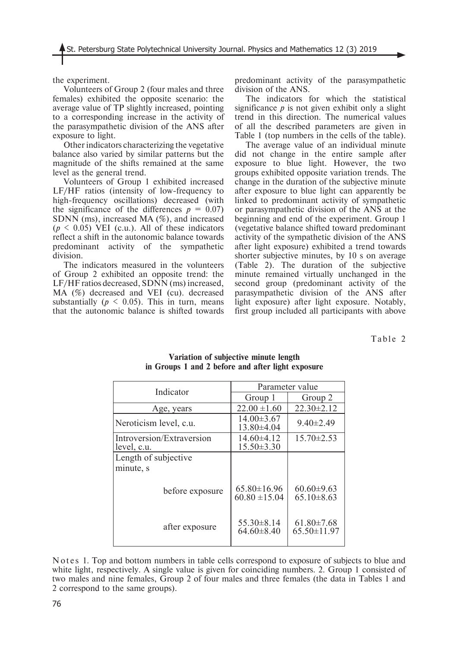the experiment.

Volunteers of Group 2 (four males and three females) exhibited the opposite scenario: the average value of TP slightly increased, pointing to a corresponding increase in the activity of the parasympathetic division of the ANS after exposure to light.

Other indicators characterizing the vegetative balance also varied by similar patterns but the magnitude of the shifts remained at the same level as the general trend.

Volunteers of Group 1 exhibited increased LF/HF ratios (intensity of low-frequency to high-frequency oscillations) decreased (with the significance of the differences  $p = 0.07$ SDNN (ms), increased MA  $(\%)$ , and increased  $(p \leq 0.05)$  VEI (c.u.). All of these indicators reflect a shift in the autonomic balance towards predominant activity of the sympathetic division.

The indicators measured in the volunteers of Group 2 exhibited an opposite trend: the LF/HF ratios decreased, SDNN (ms) increased, MA (%) decreased and VEI (cu). decreased substantially  $(p \le 0.05)$ . This in turn, means that the autonomic balance is shifted towards

predominant activity of the parasympathetic division of the ANS.

The indicators for which the statistical significance  $p$  is not given exhibit only a slight trend in this direction. The numerical values of all the described parameters are given in Table 1 (top numbers in the cells of the table).

The average value of an individual minute did not change in the entire sample after exposure to blue light. However, the two groups exhibited opposite variation trends. The change in the duration of the subjective minute after exposure to blue light can apparently be linked to predominant activity of sympathetic or parasympathetic division of the ANS at the beginning and end of the experiment. Group 1 (vegetative balance shifted toward predominant activity of the sympathetic division of the ANS after light exposure) exhibited a trend towards shorter subjective minutes, by 10 s on average (Table 2). The duration of the subjective minute remained virtually unchanged in the second group (predominant activity of the parasympathetic division of the ANS after light exposure) after light exposure. Notably, first group included all participants with above

Table 2

| Indicator                                | Parameter value                        |                                       |  |
|------------------------------------------|----------------------------------------|---------------------------------------|--|
|                                          | Group 1                                | Group 2                               |  |
| Age, years                               | $22.00 \pm 1.60$                       | $22.30 \pm 2.12$                      |  |
| Neroticism level, c.u.                   | $14.00 \pm 3.67$<br>13.80±4.04         | $9.40 \pm 2.49$                       |  |
| Introversion/Extraversion<br>level, c.u. | $14.60\pm4.12$<br>$15.50 \pm 3.30$     | $15.70 \pm 2.53$                      |  |
| Length of subjective                     |                                        |                                       |  |
| minute, s                                |                                        |                                       |  |
| before exposure                          | $65.80 \pm 16.96$<br>$60.80 \pm 15.04$ | $60.60 \pm 9.63$<br>$65.10 \pm 8.63$  |  |
| after exposure                           | $55.30 \pm 8.14$<br>$64.60 \pm 8.40$   | $61.80 \pm 7.68$<br>$65.50 \pm 11.97$ |  |

### **Variation of subjective minute length in Groups 1 and 2 before and after light exposure**

Notes 1. Top and bottom numbers in table cells correspond to exposure of subjects to blue and white light, respectively. A single value is given for coinciding numbers, 2. Group 1 consisted of two males and nine females, Group 2 of four males and three females (the data in Tables 1 and 2 correspond to the same groups).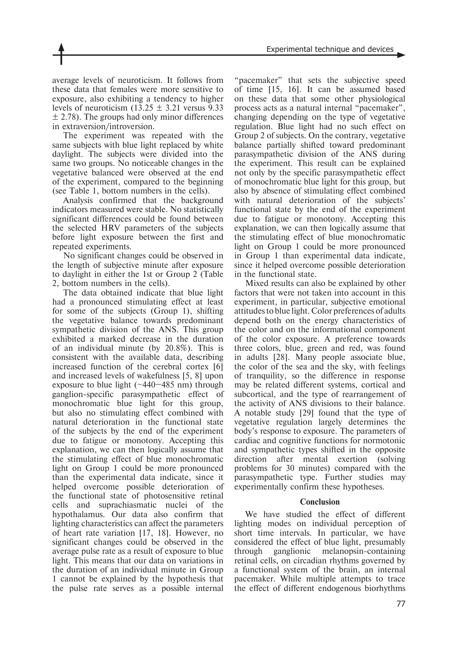average levels of neuroticism. It follows from these data that females were more sensitive to exposure, also exhibiting a tendency to higher levels of neuroticism  $(13.25 \pm 3.21)$  versus 9.33  $\pm$  2.78). The groups had only minor differences in extraversion/introversion.

The experiment was repeated with the same subjects with blue light replaced by white daylight. The subjects were divided into the same two groups. No noticeable changes in the vegetative balanced were observed at the end of the experiment, compared to the beginning (see Table 1, bottom numbers in the cells).

Analysis confirmed that the background indicators measured were stable. No statistically significant differences could be found between the selected HRV parameters of the subjects before light exposure between the first and repeated experiments.

No significant changes could be observed in the length of subjective minute after exposure to daylight in either the 1st or Group 2 (Table 2, bottom numbers in the cells).

The data obtained indicate that blue light had a pronounced stimulating effect at least for some of the subjects (Group 1), shifting the vegetative balance towards predominant sympathetic division of the ANS. This group exhibited a marked decrease in the duration of an individual minute (by 20.8%). This is consistent with the available data, describing increased function of the cerebral cortex [6] and increased levels of wakefulness [5, 8] upon exposure to blue light  $(\sim 440 - 485 \text{ nm})$  through ganglion-specific parasympathetic effect of monochromatic blue light for this group, but also no stimulating effect combined with natural deterioration in the functional state of the subjects by the end of the experiment due to fatigue or monotony. Accepting this explanation, we can then logically assume that the stimulating effect of blue monochromatic light on Group 1 could be more pronounced than the experimental data indicate, since it helped overcome possible deterioration of the functional state of photosensitive retinal cells and suprachiasmatic nuclei of the hypothalamus. Our data also confirm that lighting characteristics can affect the parameters of heart rate variation [17, 18]. However, no significant changes could be observed in the average pulse rate as a result of exposure to blue light. This means that our data on variations in the duration of an individual minute in Group 1 cannot be explained by the hypothesis that the pulse rate serves as a possible internal

"pacemaker" that sets the subjective speed of time [15, 16]. It can be assumed based on these data that some other physiological process acts as a natural internal "pacemaker", changing depending on the type of vegetative regulation. Blue light had no such effect on Group 2 of subjects. On the contrary, vegetative balance partially shifted toward predominant parasympathetic division of the ANS during the experiment. This result can be explained not only by the specific parasympathetic effect of monochromatic blue light for this group, but also by absence of stimulating effect combined with natural deterioration of the subjects' functional state by the end of the experiment due to fatigue or monotony. Accepting this explanation, we can then logically assume that the stimulating effect of blue monochromatic light on Group 1 could be more pronounced in Group 1 than experimental data indicate, since it helped overcome possible deterioration in the functional state.

Mixed results can also be explained by other factors that were not taken into account in this experiment, in particular, subjective emotional attitudes to blue light. Color preferences of adults depend both on the energy characteristics of the color and on the informational component of the color exposure. A preference towards three colors, blue, green and red, was found in adults [28]. Many people associate blue, the color of the sea and the sky, with feelings of tranquility, so the difference in response may be related different systems, cortical and subcortical, and the type of rearrangement of the activity of ANS divisions to their balance. A notable study [29] found that the type of vegetative regulation largely determines the body's response to exposure. The parameters of cardiac and cognitive functions for normotonic and sympathetic types shifted in the opposite direction after mental exertion (solving problems for 30 minutes) compared with the parasympathetic type. Further studies may experimentally confirm these hypotheses.

### **Conclusion**

We have studied the effect of different lighting modes on individual perception of short time intervals. In particular, we have considered the effect of blue light, presumably through ganglionic melanopsin-containing retinal cells, on circadian rhythms governed by a functional system of the brain, an internal pacemaker. While multiple attempts to trace the effect of different endogenous biorhythms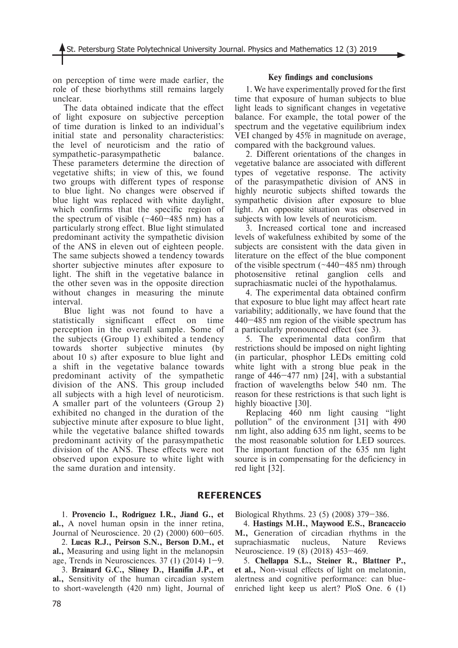on perception of time were made earlier, the role of these biorhythms still remains largely unclear.

The data obtained indicate that the effect of light exposure on subjective perception of time duration is linked to an individual's initial state and personality characteristics: the level of neuroticism and the ratio of sympathetic-parasympathetic balance. These parameters determine the direction of vegetative shifts; in view of this, we found two groups with different types of response to blue light. No changes were observed if blue light was replaced with white daylight, which confirms that the specific region of the spectrum of visible  $(-460-485)$  nm) has a particularly strong effect. Blue light stimulated predominant activity the sympathetic division of the ANS in eleven out of eighteen people. The same subjects showed a tendency towards shorter subjective minutes after exposure to light. The shift in the vegetative balance in the other seven was in the opposite direction without changes in measuring the minute interval.

Blue light was not found to have a statistically significant effect on time perception in the overall sample. Some of the subjects (Group 1) exhibited a tendency towards shorter subjective minutes (by about 10 s) after exposure to blue light and a shift in the vegetative balance towards predominant activity of the sympathetic division of the ANS. This group included all subjects with a high level of neuroticism. A smaller part of the volunteers (Group 2) exhibited no changed in the duration of the subjective minute after exposure to blue light, while the vegetative balance shifted towards predominant activity of the parasympathetic division of the ANS. These effects were not observed upon exposure to white light with the same duration and intensity.

### **Key findings and conclusions**

1. We have experimentally proved for the first time that exposure of human subjects to blue light leads to significant changes in vegetative balance. For example, the total power of the spectrum and the vegetative equilibrium index VEI changed by 45% in magnitude on average, compared with the background values.

2. Different orientations of the changes in vegetative balance are associated with different types of vegetative response. The activity of the parasympathetic division of ANS in highly neurotic subjects shifted towards the sympathetic division after exposure to blue light. An opposite situation was observed in subjects with low levels of neuroticism.

3. Increased cortical tone and increased levels of wakefulness exhibited by some of the subjects are consistent with the data given in literature on the effect of the blue component of the visible spectrum  $(\sim 440 - 485 \text{ nm})$  through photosensitive retinal ganglion cells and suprachiasmatic nuclei of the hypothalamus.

4. The experimental data obtained confirm that exposure to blue light may affect heart rate variability; additionally, we have found that the 440–485 nm region of the visible spectrum has a particularly pronounced effect (see 3).

5. The experimental data confirm that restrictions should be imposed on night lighting (in particular, phosphor LEDs emitting cold white light with a strong blue peak in the range of 446–477 nm) [24], with a substantial fraction of wavelengths below 540 nm. The reason for these restrictions is that such light is highly bioactive [30].

Replacing 460 nm light causing "light pollution" of the environment [31] with 490 nm light, also adding 635 nm light, seems to be the most reasonable solution for LED sources. The important function of the 635 nm light source is in compensating for the deficiency in red light [32].

## **REFERENCES**

1. **Provencio I., Rodriguez I.R., Jiand G., et al.,** A novel human opsin in the inner retina, Journal of Neuroscience. 20 (2) (2000) 600–605.

2. **Lucas R.J., Peirson S.N., Berson D.M., et al.,** Measuring and using light in the melanopsin age, Trends in Neurosciences.  $37(1)(2014)$  1–9.

3. **Brainard G.C., Sliney D., Hanifin J.P., et al.,** Sensitivity of the human circadian system to short-wavelength (420 nm) light, Journal of Biological Rhythms. 23 (5) (2008) 379–386.

4. **Hastings M.H., Maywood E.S., Brancaccio M.,** Generation of circadian rhythms in the suprachiasmatic nucleus, Nature Reviews Neuroscience. 19 (8) (2018) 453–469.

5. **Chellappa S.L., Steiner R., Blattner P., et al.,** Non-visual effects of light on melatonin, alertness and cognitive performance: can blueenriched light keep us alert? PloS One. 6 (1)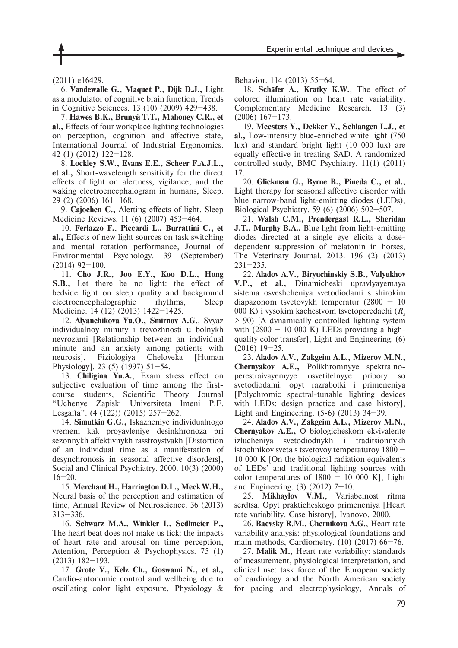79

(2011) e16429.

6. **Vandewalle G., Maquet P., Dijk D.J.,** Light as a modulator of cognitive brain function, Trends in Cognitive Sciences. 13 (10) (2009) 429–438.

7. **Hawes B.K., Brunyé T.T., Mahoney C.R., et al.,** Effects of four workplace lighting technologies on perception, cognition and affective state, International Journal of Industrial Ergonomics. 42 (1) (2012) 122–128.

8. **Lockley S.W., Evans E.E., Scheer F.A.J.L., et al.,** Short-wavelength sensitivity for the direct effects of light on alertness, vigilance, and the waking electroencephalogram in humans, Sleep. 29 (2) (2006) 161–168.

9. **Cajochen C.,** Alerting effects of light, Sleep Medicine Reviews. 11 (6) (2007) 453–464.

10. **Ferlazzo F.**, **Piccardi L., Burrattini C., et al.,** Effects of new light sources on task switching and mental rotation performance, Journal of Environmental Psychology. 39 (September) (2014) 92–100.

11. **Cho J.R., Joo E.Y., Koo D.L., Hong S.B.,** Let there be no light: the effect of bedside light on sleep quality and background electroencephalographic rhythms, Sleep Medicine. 14 (12) (2013) 1422–1425.

12. **Alyanchikova Yu.O., Smirnov A.G.**, Svyaz individualnoy minuty i trevozhnosti u bolnykh nevrozami [Relationship between an individual minute and an anxiety among patients with neurosis], Fiziologiya Cheloveka [Human Physiology]. 23 (5) (1997) 51–54.

13. **Chiligina Yu.A.**, Exam stress effect on subjective evaluation of time among the firstcourse students, Scientific Theory Journal "Uchenye Zapiski Universiteta Imeni P.F. Lesgafta". (4 (122)) (2015) 257–262.

14. **Simutkin G.G.,** Iskazheniye individualnogo vremeni kak proyavleniye desinkhronoza pri sezonnykh affektivnykh rasstroystvakh [Distortion of an individual time as a manifestation of desynchronosis in seasonal affective disorders], Social and Clinical Psychiatry. 2000. 10(3) (2000)  $16 - 20$ .

15. **Merchant H., Harrington D.L., Meck W.H.,** Neural basis of the perception and estimation of time, Annual Review of Neuroscience. 36 (2013) 313–336.

16. **Schwarz M.A., Winkler I., Sedlmeier P.,** The heart beat does not make us tick: the impacts of heart rate and arousal on time perception, Attention, Perception & Psychophysics. 75 (1) (2013) 182–193.

17. **Grote V., Kelz Ch., Goswami N., et al.,** Cardio-autonomic control and wellbeing due to oscillating color light exposure, Physiology &

Behavior. 114 (2013) 55–64.

18. **Schäfer A., Kratky K.W.**, The effect of colored illumination on heart rate variability, Complementary Medicine Research. 13 (3) (2006) 167–173.

19. **Meesters Y., Dekker V., Schlangen L.J., et al.,** Low-intensity blue-enriched white light (750 lux) and standard bright light (10 000 lux) are equally effective in treating SAD. A randomized controlled study, BMC Psychiatry. 11(1) (2011) 17.

20. **Glickman G., Byrne B., Pineda C., et al.,** Light therapy for seasonal affective disorder with blue narrow-band light-emitting diodes (LEDs), Biological Psychiatry. 59 (6) (2006) 502–507.

21. **Walsh C.M., Prendergast R.L., Sheridan J.T., Murphy B.A.,** Blue light from light-emitting diodes directed at a single eye elicits a dosedependent suppression of melatonin in horses, The Veterinary Journal. 2013. 196 (2) (2013) 231–235.

22. **Aladov A.V., Biryuchinskiy S.B., Valyukhov V.P., et al.,** Dinamicheski upravlyayemaya sistema osveshcheniya svetodiodami s shirokim diapazonom tsvetovykh temperatur (2800 – 10 000 K) i vysokim kachestvom tsvetoperedachi (*RA* > 90) [A dynamically-controlled lighting system with  $(2800 - 10000 \text{ K})$  LEDs providing a highquality color transfer], Light and Engineering. (6) (2016) 19–25.

23. **Aladov A.V., Zakgeim A.L., Mizerov M.N., Chernyakov A.E.,** Polikhromnyye spektralnoperestraivayemyye osvetitelnyye pribory so svetodiodami: opyt razrabotki i primeneniya [Polychromic spectral-tunable lighting devices with LEDs: design practice and case history], Light and Engineering. (5-6) (2013) 34–39.

24. **Aladov A.V., Zakgeim A.L., Mizerov M.N., Chernyakov A.E.,** O biologicheskom ekvivalente izlucheniya svetodiodnykh i traditsionnykh istochnikov sveta s tsvetovoy temperaturoy 1800 – 10 000 K [On the biological radiation equivalents of LEDs' and traditional lighting sources with color temperatures of  $1800 - 10000$  Kl, Light and Engineering. (3) (2012) 7–10.

25. **Mikhaylov V.M.**, Variabelnost ritma serdtsa. Opyt prakticheskogo primeneniya [Heart rate variability. Case history], Ivanovo, 2000.

26. **Baevsky R.M., Chernikova A.G.**, Heart rate variability analysis: physiological foundations and main methods, Cardiometry. (10) (2017) 66–76.

27. **Malik M.,** Heart rate variability: standards of measurement, physiological interpretation, and clinical use: task force of the European society of cardiology and the North American society for pacing and electrophysiology, Annals of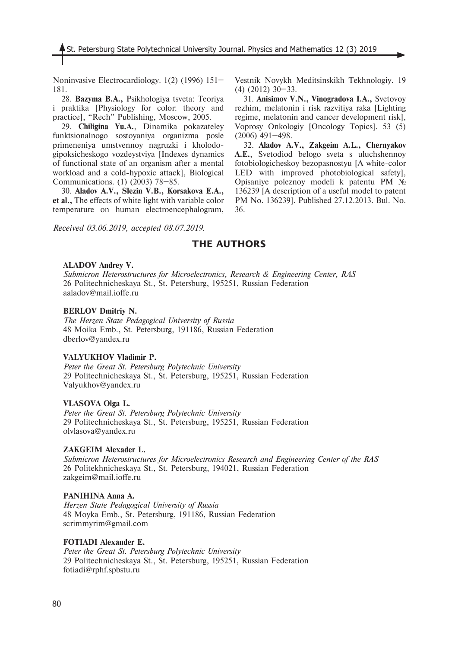Noninvasive Electrocardiology. 1(2) (1996) 151– 181.

28. **Bazyma B.A.,** Psikhologiya tsveta: Teoriya i praktika [Physiology for color: theory and practice], "Rech" Publishing, Moscow, 2005.

29. **Chiligina Yu.A.**, Dinamika pokazateley funktsionalnogo sostoyaniya organizma posle primeneniya umstvennoy nagruzki i kholodogipoksicheskogo vozdeystviya [Indexes dynamics of functional state of an organism after a mental workload and a cold-hypoxic attack], Biological Communications. (1) (2003) 78–85.

30. **Aladov A.V., Slezin V.B., Korsakova E.A., et al.,** The effects of white light with variable color temperature on human electroencephalogram,

*Received 03.06.2019, accepted 08.07.2019.*

Vestnik Novykh Meditsinskikh Tekhnologiy. 19 (4) (2012) 30–33.

31. **Anisimov V.N., Vinogradova I.A.,** Svetovoy rezhim, melatonin i risk razvitiya raka [Lighting regime, melatonin and cancer development risk], Voprosy Onkologiy [Oncology Topics]. 53 (5) (2006) 491–498.

32. **Aladov A.V., Zakgeim A.L., Chernyakov A.E.**, Svetodiod belogo sveta s uluchshennoy fotobiologicheskoy bezopasnostyu [A white-color LED with improved photobiological safety], Opisaniye poleznoy modeli k patentu PM № 136239 [A description of a useful model to patent PM No. 136239]. Published 27.12.2013. Bul. No. 36.

## **THE AUTHORS**

### **ALADOV Andrey V.**

*Submicron Heterostructures for Microelectronics, Research & Engineering Center, RAS* 26 Politechnicheskaya St., St. Petersburg, 195251, Russian Federation aaladov@mail.ioffe.ru

#### **BERLOV Dmitriy N.**

*The Herzen State Pedagogical University of Russia* 48 Moika Emb., St. Petersburg, 191186, Russian Federation dberlov@yandex.ru

### **VALYUKHOV Vladimir P.**

*Peter the Great St. Petersburg Polytechnic University* 29 Politechnicheskaya St., St. Petersburg, 195251, Russian Federation Valyukhov@yandex.ru

#### **VLASOVA Olga L.**

*Peter the Great St. Petersburg Polytechnic University* 29 Politechnicheskaya St., St. Petersburg, 195251, Russian Federation olvlasova@yandex.ru

#### **ZAKGEIM Alexader L.**

*Submicron Heterostructures for Microelectronics Research and Engineering Center of the RAS* 26 Politekhnicheskaya St., St. Petersburg, 194021, Russian Federation zakgeim@mail.ioffe.ru

#### **PANIHINA Anna A.**

*Herzen State Pedagogical University of Russia* 48 Moyka Emb., St. Petersburg, 191186, Russian Federation scrimmyrim@gmail.com

### **FOTIADI Alexander E.**

*Peter the Great St. Petersburg Polytechnic University* 29 Politechnicheskaya St., St. Petersburg, 195251, Russian Federation fotiadi@rphf.spbstu.ru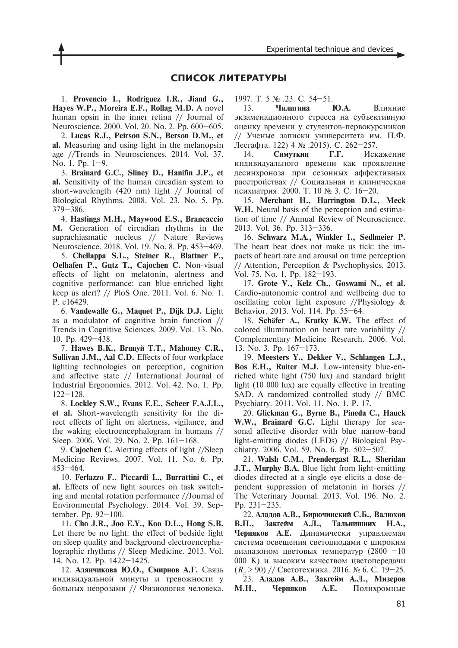### **СПИСОК ЛИТЕРАТУРЫ**

1. **Provencio I., Rodriguez I.R., Jiand G., Hayes W.P., Moreira E.F., Rollag M.D.** A novel human opsin in the inner retina // Journal of Neuroscience. 2000. Vol. 20. No. 2. Pp. 600–605.

2. **Lucas R.J., Peirson S.N., Berson D.M., et al.** Measuring and using light in the melanopsin age //Trends in Neurosciences. 2014. Vol. 37. No. 1. Pp. 1–9.

3. **Brainard G.C., Sliney D., Hanifin J.P., et al.** Sensitivity of the human circadian system to short-wavelength (420 nm) light // Journal of Biological Rhythms. 2008. Vol. 23. No. 5. Pp. 379–386.

4. **Hastings M.H., Maywood E.S., Brancaccio M.** Generation of circadian rhythms in the suprachiasmatic nucleus // Nature Reviews Neuroscience. 2018. Vol. 19. No. 8. Pp. 453–469.

5. **Chellappa S.L., Steiner R., Blattner P., Oelhafen P., Gutz T., Cajochen C. Non-visual** effects of light on melatonin, alertness and cognitive performance: can blue-enriched light keep us alert? // PloS One. 2011. Vol. 6. No. 1. P. e16429.

6. **Vandewalle G., Maquet P., Dijk D.J.** Light as a modulator of cognitive brain function // Trends in Cognitive Sciences. 2009. Vol. 13. No. 10. Pp. 429–438.

7. **Hawes B.K., Brunyé T.T., Mahoney C.R., Sullivan J.M., Aal C.D.** Effects of four workplace lighting technologies on perception, cognition and affective state // International Journal of Industrial Ergonomics. 2012. Vol. 42. No. 1. Pp. 122–128.

8. **Lockley S.W., Evans E.E., Scheer F.A.J.L., et al.** Short-wavelength sensitivity for the direct effects of light on alertness, vigilance, and the waking electroencephalogram in humans // Sleep. 2006. Vol. 29. No. 2. Pp. 161–168.

9. **Cajochen C.** Alerting effects of light //Sleep Medicine Reviews. 2007. Vol. 11. No. 6. Pp. 453–464.

10. **Ferlazzo F.**, **Piccardi L., Burrattini C., et al.** Effects of new light sources on task switching and mental rotation performance //Journal of Environmental Psychology. 2014. Vol. 39. September. Pp. 92–100.

11. **Cho J.R., Joo E.Y., Koo D.L., Hong S.B.** Let there be no light: the effect of bedside light on sleep quality and background electroencephalographic rhythms // Sleep Medicine. 2013. Vol. 14. No. 12. Pp. 1422–1425.

12. **Алянчикова Ю.О., Смирнов А.Г.** Связь индивидуальной минуты и тревожности у больных неврозами // Физиология человека. 1997. Т. 5 № .23. С. 54–51.

13. **Чилигина Ю.А.** Влияние экзаменационного стресса на субъективную оценку времени у студентов-первокурсников // Ученые записки университета им. П.Ф. Лесгафта. 122( 4 № .2015). С. 262–257.

14. **Симуткин Г.Г.** Искажение индивидуального времени как проявление десинхроноза при сезонных аффективных расстройствах // Социальная и клиническая психиатрия. 2000. T. 10 № 3. С. 16–20.

15. **Merchant H., Harrington D.L., Meck W.H.** Neural basis of the perception and estimation of time // Annual Review of Neuroscience. 2013. Vol. 36. Pp. 313–336.

16. **Schwarz M.A., Winkler I., Sedlmeier P.** The heart beat does not make us tick: the impacts of heart rate and arousal on time perception // Attention, Perception & Psychophysics. 2013. Vol. 75. No. 1. Pp. 182–193.

17. **Grote V., Kelz Ch., Goswami N., et al.** Cardio-autonomic control and wellbeing due to oscillating color light exposure //Physiology & Behavior. 2013. Vol. 114. Pp. 55–64.

18. **Schäfer A., Kratky K.W.** The effect of colored illumination on heart rate variability // Complementary Medicine Research. 2006. Vol. 13. No. 3. Pp. 167–173.

19. **Meesters Y., Dekker V., Schlangen L.J., Bos E.H., Ruiter M.J.** Low-intensity blue-enriched white light (750 lux) and standard bright light (10 000 lux) are equally effective in treating SAD. A randomized controlled study // BMC Psychiatry. 2011. Vol. 11. No. 1. P. 17.

20. **Glickman G., Byrne B., Pineda C., Hauck W.W., Brainard G.C.** Light therapy for seasonal affective disorder with blue narrow-band light-emitting diodes (LEDs) // Biological Psychiatry. 2006. Vol. 59. No. 6. Pp. 502–507.

21. **Walsh C.M., Prendergast R.L., Sheridan J.T., Murphy B.A.** Blue light from light-emitting diodes directed at a single eye elicits a dose-dependent suppression of melatonin in horses // The Veterinary Journal. 2013. Vol. 196. No. 2. Pp. 231–235.

22. **Аладов А.В., Бирючинскиé С.Б., Валюхов В.П., Закгеéм А.Л., Тальнишних Н.А., Черняков А.Е.** Динамически управляемая система освещения светодиодами с широким диапазоном цветовых температур (2800 –10 000 K) и высоким качеством цветопередачи (*RA* > 90) // Светотехника. 2016. № 6. С. 19–25. 23. **Аладов А.В., Закгеéм А.Л., Мизеров М.Н., Черняков А.Е.** Полихромные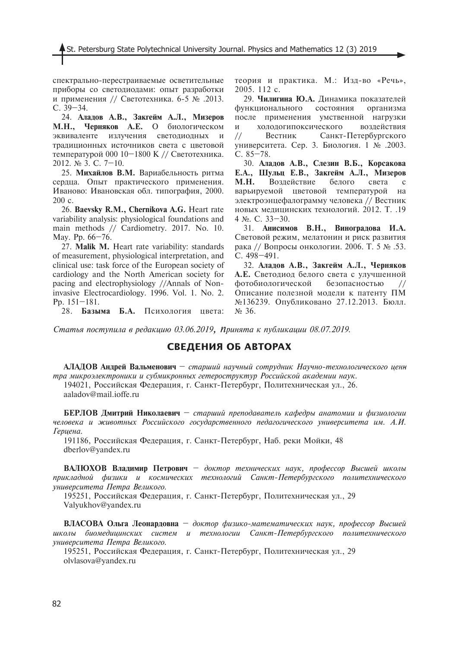спектрально-перестраиваемые осветительные приборы со светодиодами: опыт разработки и применения // Светотехника. 6-5 № .2013. С. 39–34.

24. **Аладов А.В., Закгеéм А.Л., Мизеров М.Н., Черняков А.Е.** О биологическом эквиваленте излучения светодиодных и традиционных источников света с цветовой температурой 000 10–1800 K // Светотехника. 2012. № 3. С. 7–10.

25. **Михаéлов В.М.** Вариабельность ритма сердца. Опыт практического применения. Иваново: Ивановская обл. типография, 2000. 200 с.

26. **Baevsky R.М., Chernikova A.G.** Heart rate variability analysis: physiological foundations and main methods // Cardiometry. 2017. No. 10. May. Pp. 66–76.

27. **Malik M.** Heart rate variability: standards of measurement, physiological interpretation, and clinical use: task force of the European society of cardiology and the North American society for pacing and electrophysiology //Annals of Noninvasive Electrocardiology. 1996. Vol. 1. No. 2. Pp. 151–181.

28. **Базыма Б.А.** Психология цвета:

теория и практика. М.: Изд-во «Речь», 2005. 112 с.

29. **Чилигина Ю.А.** Динамика показателей функционального состояния организма после применения умственной нагрузки и холодогипоксического воздействия // Вестник Санкт-Петербургского университета. Сер. 3. Биология. 1 № .2003. С. 85–78.

30. **Аладов А.В., Слезин В.Б., Корсакова Е.А., Шульц Е.В., Закгеéм А.Л., Мизеров М.Н.** Воздействие белого света с варьируемой цветовой температурой на электроэнцефалограмму человека // Вестник новых медицинских технологий. 2012. Т. .19 4 №. С. 33–30.

31. **Анисимов В.Н., Виноградова И.А.** Световой режим, мелатонин и риск развития рака // Вопросы онкологии. 2006. Т. 5 № .53. С. 498–491.

32. **Аладов А.В., Закгеéм А.Л., Черняков А.Е.** Светодиод белого света с улучшенной фотобиологической безопасностью // Описание полезной модели к патенту ПМ №136239. Опубликовано 27.12.2013. Бюлл. № 36.

*Статья поступила в редакцию 03.06.2019, принята к публикации 08.07.2019.*

# **СВЕДЕНИЯ ОБ АВТОРАХ**

**АЛАДОВ Андреé Вальменович** – *старший научный сотрудник Научно-технологического центра микроэлектроники и субмикронных гетероструктур Российской академии наук.* 194021, Российская Федерация, г. Санкт-Петербург, Политехническая ул., 26.

aaladov@mail.ioffe.ru

**БЕРЛОВ Дмитриé Николаевич** – *старший преподаватель кафедры анатомии и физиологии человека и животных Российского государственного педагогического университета им. А.И. Герцена.*

191186, Российская Федерация, г. Санкт-Петербург, Наб. реки Мойки, 48 dberlov@yandex.ru

**ВАЛЮХОВ Владимир Петрович** – *доктор технических наук, профессор Высшей школы прикладной физики и космических технологий Санкт-Петербургского политехнического университета Петра Великого.* 

195251, Российская Федерация, г. Санкт-Петербург, Политехническая ул., 29 Valyukhov@yandex.ru

**ВЛАСОВА Ольга Леонардовна** – *доктор физико-математических наук, профессор Высшей школы биомедицинских систем и технологии Санкт-Петербургского политехнического университета Петра Великого.*

195251, Российская Федерация, г. Санкт-Петербург, Политехническая ул., 29 olvlasova@yandex.ru